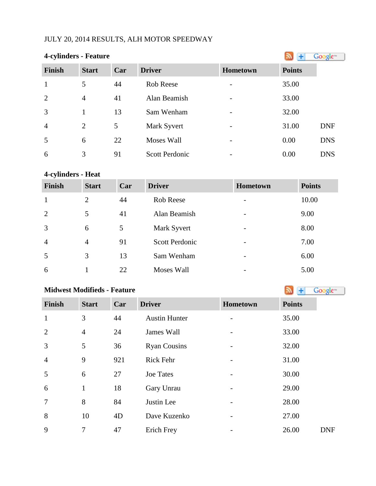# JULY 20, 2014 RESULTS, ALH MOTOR SPEEDWAY

| <b>4-cylinders - Feature</b> |                |     |                       |                          |               | Google <sup>®</sup> |
|------------------------------|----------------|-----|-----------------------|--------------------------|---------------|---------------------|
| <b>Finish</b>                | <b>Start</b>   | Car | <b>Driver</b>         | <b>Hometown</b>          | <b>Points</b> |                     |
| $\mathbf{1}$                 | 5              | 44  | Rob Reese             |                          | 35.00         |                     |
| 2                            | $\overline{4}$ | 41  | Alan Beamish          | $\overline{\phantom{a}}$ | 33.00         |                     |
| 3                            | 1              | 13  | Sam Wenham            | $\overline{\phantom{a}}$ | 32.00         |                     |
| $\overline{4}$               | $\overline{2}$ | 5   | Mark Syvert           | $\overline{\phantom{a}}$ | 31.00         | <b>DNF</b>          |
| 5                            | 6              | 22  | <b>Moses Wall</b>     | $\overline{\phantom{a}}$ | 0.00          | <b>DNS</b>          |
| 6                            | 3              | 91  | <b>Scott Perdonic</b> | $\overline{\phantom{a}}$ | 0.00          | <b>DNS</b>          |

# **4-cylinders - Heat**

| Finish         | <b>Start</b>   | Car | <b>Driver</b>         | <b>Hometown</b>          | <b>Points</b> |
|----------------|----------------|-----|-----------------------|--------------------------|---------------|
| 1              | 2              | 44  | Rob Reese             |                          | 10.00         |
| 2              | 5              | 41  | Alan Beamish          |                          | 9.00          |
| $\overline{3}$ | 6              | 5   | Mark Syvert           |                          | 8.00          |
| $\overline{4}$ | $\overline{4}$ | 91  | <b>Scott Perdonic</b> |                          | 7.00          |
| 5              | 3              | 13  | Sam Wenham            | -                        | 6.00          |
| 6              |                | 22  | Moses Wall            | $\overline{\phantom{0}}$ | 5.00          |

### **MidwestModifieds - Feature**

| <b>Finish</b>  | <b>Start</b>   | Car | <b>Driver</b>        | Hometown | <b>Points</b> |
|----------------|----------------|-----|----------------------|----------|---------------|
| $\mathbf{1}$   | 3              | 44  | <b>Austin Hunter</b> |          | 35.00         |
| $\overline{2}$ | $\overline{4}$ | 24  | James Wall           |          | 33.00         |
| 3              | 5              | 36  | <b>Ryan Cousins</b>  |          | 32.00         |
| $\overline{4}$ | 9              | 921 | <b>Rick Fehr</b>     |          | 31.00         |
| 5              | 6              | 27  | <b>Joe Tates</b>     |          | 30.00         |
| 6              | $\mathbf{1}$   | 18  | Gary Unrau           |          | 29.00         |
| $\overline{7}$ | 8              | 84  | Justin Lee           |          | 28.00         |
| 8              | 10             | 4D  | Dave Kuzenko         |          | 27.00         |
| 9              | 7              | 47  | Erich Frey           |          | 26.00         |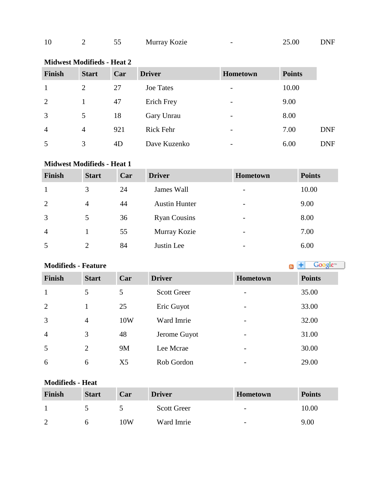| 10 |  |  | Murray Kozie | $\overline{\phantom{0}}$ | 25.00 | <b>DNF</b> |
|----|--|--|--------------|--------------------------|-------|------------|
|----|--|--|--------------|--------------------------|-------|------------|

# **Midwest Modifieds - Heat 2**

| <b>Finish</b>  | <b>Start</b>   | Car | <b>Driver</b>    | Hometown | <b>Points</b> |            |
|----------------|----------------|-----|------------------|----------|---------------|------------|
|                | $\overline{2}$ | 27  | <b>Joe Tates</b> | -        | 10.00         |            |
| 2              |                | 47  | Erich Frey       | -        | 9.00          |            |
| 3              | 5              | 18  | Gary Unrau       | -        | 8.00          |            |
| $\overline{4}$ | 4              | 921 | <b>Rick Fehr</b> | -        | 7.00          | <b>DNF</b> |
| 5              | 3              | 4D  | Dave Kuzenko     |          | 6.00          | <b>DNF</b> |

### **Midwest Modifieds - Heat 1**

| <b>Finish</b>  | <b>Start</b>   | Car | <b>Driver</b>        | <b>Hometown</b>          | <b>Points</b> |
|----------------|----------------|-----|----------------------|--------------------------|---------------|
|                | 3              | 24  | James Wall           | $\overline{\phantom{a}}$ | 10.00         |
| 2              | $\overline{4}$ | 44  | <b>Austin Hunter</b> | $\overline{\phantom{a}}$ | 9.00          |
| 3              | 5              | 36  | <b>Ryan Cousins</b>  | $\overline{\phantom{a}}$ | 8.00          |
| $\overline{4}$ |                | 55  | Murray Kozie         | $\overline{\phantom{a}}$ | 7.00          |
| 5              | 2              | 84  | Justin Lee           | $\overline{\phantom{0}}$ | 6.00          |

# **Modifieds - Feature**

| Finish         | <b>Start</b>   | Car            | <b>Driver</b>      | <b>Hometown</b>          | <b>Points</b> |
|----------------|----------------|----------------|--------------------|--------------------------|---------------|
| $\mathbf{1}$   | 5              | 5              | <b>Scott Greer</b> | $\overline{\phantom{0}}$ | 35.00         |
| 2              |                | 25             | Eric Guyot         | $\overline{\phantom{m}}$ | 33.00         |
| 3              | $\overline{4}$ | 10W            | Ward Imrie         | $\overline{\phantom{a}}$ | 32.00         |
| $\overline{4}$ | 3              | 48             | Jerome Guyot       | -                        | 31.00         |
| 5              | 2              | 9M             | Lee Mcrae          | $\overline{\phantom{a}}$ | 30.00         |
| 6              | 6              | X <sub>5</sub> | Rob Gordon         | -                        | 29.00         |

#### **Modifieds - Heat**

| Finish | <b>Start</b> | Car | <b>Driver</b>      | <b>Hometown</b>          | <b>Points</b> |
|--------|--------------|-----|--------------------|--------------------------|---------------|
|        |              |     | <b>Scott Greer</b> | $\overline{\phantom{0}}$ | 10.00         |
| ി      |              | 10W | Ward Imrie         | $\overline{\phantom{0}}$ | 9.00          |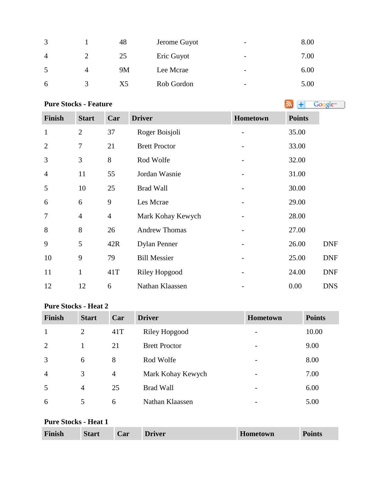|   |   | 48        | Jerome Guyot | $\overline{\phantom{0}}$ | 8.00 |
|---|---|-----------|--------------|--------------------------|------|
| 4 |   | 25        | Eric Guyot   | $\overline{\phantom{a}}$ | 7.00 |
|   | 4 | <b>9M</b> | Lee Mcrae    | $\overline{\phantom{0}}$ | 6.00 |
| 6 |   | X5        | Rob Gordon   | -                        | 5.00 |

# **PureStocks - Feature Algebra 2019 Constant 1 Constant 1 Constant 1 Constant 1 Constant 1 Constant 1 Constant 1 Constant 1 Constant 1 Constant 1 Constant 1 Constant 1 Constant 1 Constant 1**

| <b>Finish</b>  | <b>Start</b>   | Car            | <b>Driver</b>        | Hometown | <b>Points</b> |            |
|----------------|----------------|----------------|----------------------|----------|---------------|------------|
| $\mathbf{1}$   | $\overline{2}$ | 37             | Roger Boisjoli       |          | 35.00         |            |
| $\overline{2}$ | $\overline{7}$ | 21             | <b>Brett Proctor</b> |          | 33.00         |            |
| 3              | 3              | 8              | Rod Wolfe            |          | 32.00         |            |
| $\overline{4}$ | 11             | 55             | Jordan Wasnie        |          | 31.00         |            |
| 5              | 10             | 25             | <b>Brad Wall</b>     |          | 30.00         |            |
| 6              | 6              | 9              | Les Mcrae            |          | 29.00         |            |
| $\overline{7}$ | $\overline{4}$ | $\overline{4}$ | Mark Kohay Kewych    |          | 28.00         |            |
| 8              | 8              | 26             | <b>Andrew Thomas</b> |          | 27.00         |            |
| 9              | 5              | 42R            | <b>Dylan Penner</b>  |          | 26.00         | <b>DNF</b> |
| 10             | 9              | 79             | <b>Bill Messier</b>  |          | 25.00         | <b>DNF</b> |
| 11             | $\mathbf{1}$   | 41T            | <b>Riley Hopgood</b> |          | 24.00         | <b>DNF</b> |
| 12             | 12             | 6              | Nathan Klaassen      |          | 0.00          | <b>DNS</b> |

#### **Pure Stocks - Heat 2**

| <b>Finish</b>  | <b>Start</b>   | Car            | <b>Driver</b>        | <b>Hometown</b> | <b>Points</b> |
|----------------|----------------|----------------|----------------------|-----------------|---------------|
| $\mathbf{1}$   | 2              | 41T            | <b>Riley Hopgood</b> |                 | 10.00         |
| $\overline{2}$ |                | 21             | <b>Brett Proctor</b> |                 | 9.00          |
| 3              | 6              | 8              | Rod Wolfe            |                 | 8.00          |
| $\overline{4}$ | 3              | $\overline{4}$ | Mark Kohay Kewych    |                 | 7.00          |
| 5              | $\overline{4}$ | 25             | <b>Brad Wall</b>     |                 | 6.00          |
| 6              | 5              | 6              | Nathan Klaassen      |                 | 5.00          |

# **Pure Stocks - Heat 1**

| Finish | <b>Start</b> | Car | <b>Driver</b> | <b>Hometown</b> | <b>Points</b> |
|--------|--------------|-----|---------------|-----------------|---------------|
|--------|--------------|-----|---------------|-----------------|---------------|